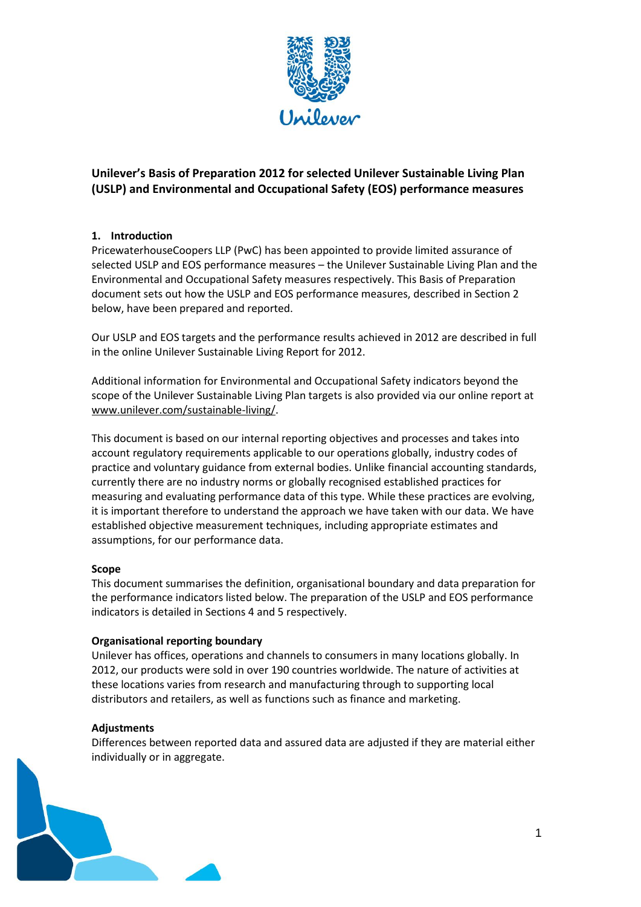

# **Unilever's Basis of Preparation 2012 for selected Unilever Sustainable Living Plan (USLP) and Environmental and Occupational Safety (EOS) performance measures**

## **1. Introduction**

PricewaterhouseCoopers LLP (PwC) has been appointed to provide limited assurance of selected USLP and EOS performance measures – the Unilever Sustainable Living Plan and the Environmental and Occupational Safety measures respectively. This Basis of Preparation document sets out how the USLP and EOS performance measures, described in Section 2 below, have been prepared and reported.

Our USLP and EOS targets and the performance results achieved in 2012 are described in full in the online Unilever Sustainable Living Report for 2012.

Additional information for Environmental and Occupational Safety indicators beyond the scope of the Unilever Sustainable Living Plan targets is also provided via our online report at [www.unilever.com/sustainable-living/.](http://www.unilever.com/sustainable-living/)

This document is based on our internal reporting objectives and processes and takes into account regulatory requirements applicable to our operations globally, industry codes of practice and voluntary guidance from external bodies. Unlike financial accounting standards, currently there are no industry norms or globally recognised established practices for measuring and evaluating performance data of this type. While these practices are evolving, it is important therefore to understand the approach we have taken with our data. We have established objective measurement techniques, including appropriate estimates and assumptions, for our performance data.

## **Scope**

This document summarises the definition, organisational boundary and data preparation for the performance indicators listed below. The preparation of the USLP and EOS performance indicators is detailed in Sections 4 and 5 respectively.

#### **Organisational reporting boundary**

Unilever has offices, operations and channels to consumers in many locations globally. In 2012, our products were sold in over 190 countries worldwide. The nature of activities at these locations varies from research and manufacturing through to supporting local distributors and retailers, as well as functions such as finance and marketing.

#### **Adjustments**

Differences between reported data and assured data are adjusted if they are material either individually or in aggregate.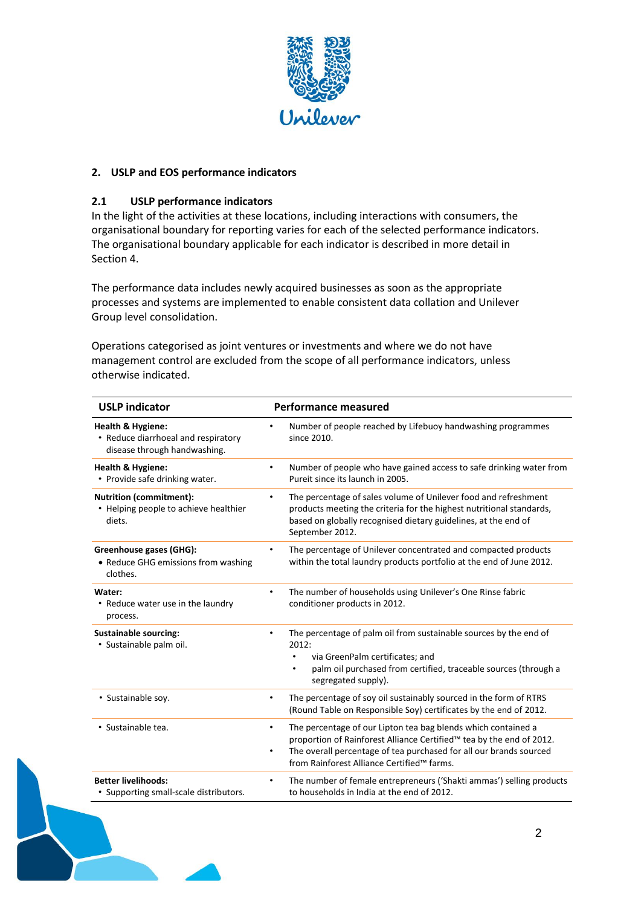

### **2. USLP and EOS performance indicators**

### **2.1 USLP performance indicators**

In the light of the activities at these locations, including interactions with consumers, the organisational boundary for reporting varies for each of the selected performance indicators. The organisational boundary applicable for each indicator is described in more detail in Section 4.

The performance data includes newly acquired businesses as soon as the appropriate processes and systems are implemented to enable consistent data collation and Unilever Group level consolidation.

Operations categorised as joint ventures or investments and where we do not have management control are excluded from the scope of all performance indicators, unless otherwise indicated.

| <b>USLP indicator</b>                                                                               | <b>Performance measured</b>                                                                                                                                                                                                                                                 |
|-----------------------------------------------------------------------------------------------------|-----------------------------------------------------------------------------------------------------------------------------------------------------------------------------------------------------------------------------------------------------------------------------|
| <b>Health &amp; Hygiene:</b><br>• Reduce diarrhoeal and respiratory<br>disease through handwashing. | Number of people reached by Lifebuoy handwashing programmes<br>$\bullet$<br>since 2010.                                                                                                                                                                                     |
| <b>Health &amp; Hygiene:</b><br>• Provide safe drinking water.                                      | Number of people who have gained access to safe drinking water from<br>٠<br>Pureit since its launch in 2005.                                                                                                                                                                |
| <b>Nutrition (commitment):</b><br>• Helping people to achieve healthier<br>diets.                   | The percentage of sales volume of Unilever food and refreshment<br>$\bullet$<br>products meeting the criteria for the highest nutritional standards,<br>based on globally recognised dietary guidelines, at the end of<br>September 2012.                                   |
| Greenhouse gases (GHG):<br>• Reduce GHG emissions from washing<br>clothes.                          | The percentage of Unilever concentrated and compacted products<br>$\bullet$<br>within the total laundry products portfolio at the end of June 2012.                                                                                                                         |
| Water:<br>• Reduce water use in the laundry<br>process.                                             | The number of households using Unilever's One Rinse fabric<br>$\bullet$<br>conditioner products in 2012.                                                                                                                                                                    |
| <b>Sustainable sourcing:</b><br>· Sustainable palm oil.                                             | The percentage of palm oil from sustainable sources by the end of<br>٠<br>2012:<br>via GreenPalm certificates; and<br>palm oil purchased from certified, traceable sources (through a<br>$\bullet$<br>segregated supply).                                                   |
| • Sustainable soy.                                                                                  | The percentage of soy oil sustainably sourced in the form of RTRS<br>$\bullet$<br>(Round Table on Responsible Soy) certificates by the end of 2012.                                                                                                                         |
| · Sustainable tea.                                                                                  | The percentage of our Lipton tea bag blends which contained a<br>٠<br>proportion of Rainforest Alliance Certified™ tea by the end of 2012.<br>The overall percentage of tea purchased for all our brands sourced<br>$\bullet$<br>from Rainforest Alliance Certified™ farms. |
| <b>Better livelihoods:</b><br>• Supporting small-scale distributors.                                | The number of female entrepreneurs ('Shakti ammas') selling products<br>$\bullet$<br>to households in India at the end of 2012.                                                                                                                                             |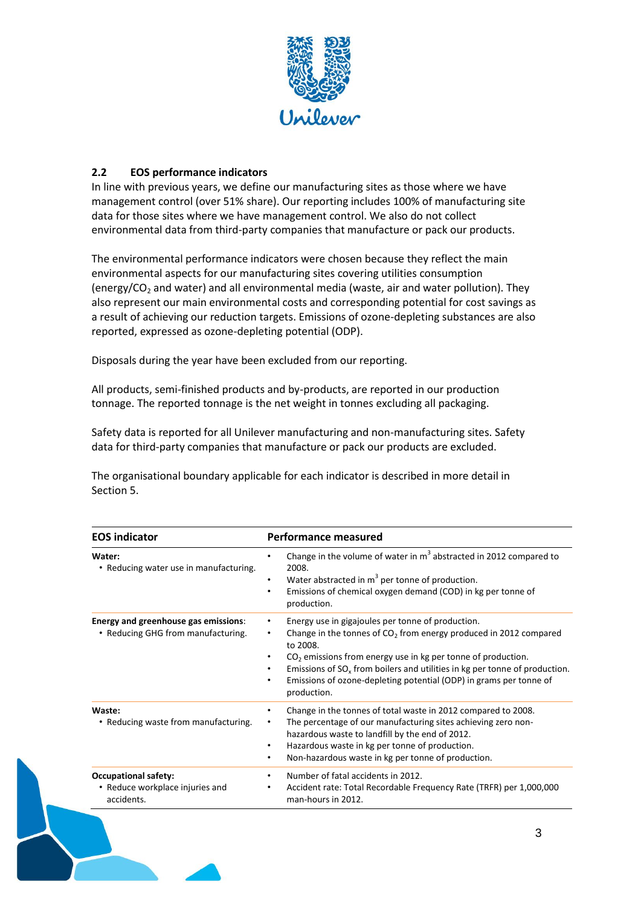

## **2.2 EOS performance indicators**

In line with previous years, we define our manufacturing sites as those where we have management control (over 51% share). Our reporting includes 100% of manufacturing site data for those sites where we have management control. We also do not collect environmental data from third-party companies that manufacture or pack our products.

The environmental performance indicators were chosen because they reflect the main environmental aspects for our manufacturing sites covering utilities consumption (energy/CO<sub>2</sub> and water) and all environmental media (waste, air and water pollution). They also represent our main environmental costs and corresponding potential for cost savings as a result of achieving our reduction targets. Emissions of ozone-depleting substances are also reported, expressed as ozone-depleting potential (ODP).

Disposals during the year have been excluded from our reporting.

All products, semi‐finished products and by‐products, are reported in our production tonnage. The reported tonnage is the net weight in tonnes excluding all packaging.

Safety data is reported for all Unilever manufacturing and non-manufacturing sites. Safety data for third-party companies that manufacture or pack our products are excluded.

The organisational boundary applicable for each indicator is described in more detail in Section 5.

| <b>EOS indicator</b>                                                         | <b>Performance measured</b>                                                                                                                                                                                                                                                                                                                                                                   |
|------------------------------------------------------------------------------|-----------------------------------------------------------------------------------------------------------------------------------------------------------------------------------------------------------------------------------------------------------------------------------------------------------------------------------------------------------------------------------------------|
| Water:<br>• Reducing water use in manufacturing.                             | Change in the volume of water in $m3$ abstracted in 2012 compared to<br>$\bullet$<br>2008.<br>Water abstracted in m <sup>3</sup> per tonne of production.<br>$\bullet$<br>Emissions of chemical oxygen demand (COD) in kg per tonne of<br>٠<br>production.                                                                                                                                    |
| Energy and greenhouse gas emissions:<br>• Reducing GHG from manufacturing.   | Energy use in gigajoules per tonne of production.<br>$\bullet$<br>Change in the tonnes of $CO2$ from energy produced in 2012 compared<br>٠<br>to 2008.<br>$CO2$ emissions from energy use in kg per tonne of production.<br>Emissions of $SOx$ from boilers and utilities in kg per tonne of production.<br>Emissions of ozone-depleting potential (ODP) in grams per tonne of<br>production. |
| Waste:<br>• Reducing waste from manufacturing.                               | Change in the tonnes of total waste in 2012 compared to 2008.<br>٠<br>The percentage of our manufacturing sites achieving zero non-<br>$\bullet$<br>hazardous waste to landfill by the end of 2012.<br>Hazardous waste in kg per tonne of production.<br>٠<br>Non-hazardous waste in kg per tonne of production.<br>٠                                                                         |
| <b>Occupational safety:</b><br>• Reduce workplace injuries and<br>accidents. | Number of fatal accidents in 2012.<br>٠<br>Accident rate: Total Recordable Frequency Rate (TRFR) per 1,000,000<br>٠<br>man-hours in 2012.                                                                                                                                                                                                                                                     |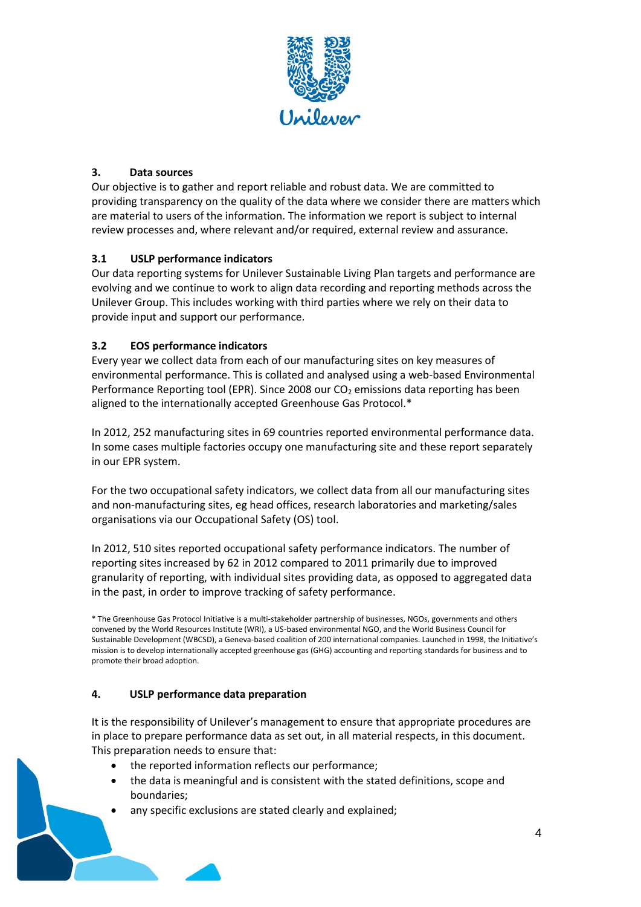

## **3. Data sources**

Our objective is to gather and report reliable and robust data. We are committed to providing transparency on the quality of the data where we consider there are matters which are material to users of the information. The information we report is subject to internal review processes and, where relevant and/or required, external review and assurance.

## **3.1 USLP performance indicators**

Our data reporting systems for Unilever Sustainable Living Plan targets and performance are evolving and we continue to work to align data recording and reporting methods across the Unilever Group. This includes working with third parties where we rely on their data to provide input and support our performance.

## **3.2 EOS performance indicators**

Every year we collect data from each of our manufacturing sites on key measures of environmental performance. This is collated and analysed using a web‐based Environmental Performance Reporting tool (EPR). Since 2008 our  $CO<sub>2</sub>$  emissions data reporting has been aligned to the internationally accepted Greenhouse Gas Protocol.\*

In 2012, 252 manufacturing sites in 69 countries reported environmental performance data. In some cases multiple factories occupy one manufacturing site and these report separately in our EPR system.

For the two occupational safety indicators, we collect data from all our manufacturing sites and non‐manufacturing sites, eg head offices, research laboratories and marketing/sales organisations via our Occupational Safety (OS) tool.

In 2012, 510 sites reported occupational safety performance indicators. The number of reporting sites increased by 62 in 2012 compared to 2011 primarily due to improved granularity of reporting, with individual sites providing data, as opposed to aggregated data in the past, in order to improve tracking of safety performance.

\* The Greenhouse Gas Protocol Initiative is a multi‐stakeholder partnership of businesses, NGOs, governments and others convened by the World Resources Institute (WRI), a US‐based environmental NGO, and the World Business Council for Sustainable Development (WBCSD), a Geneva‐based coalition of 200 international companies. Launched in 1998, the Initiative's mission is to develop internationally accepted greenhouse gas (GHG) accounting and reporting standards for business and to promote their broad adoption.

## **4. USLP performance data preparation**

It is the responsibility of Unilever's management to ensure that appropriate procedures are in place to prepare performance data as set out, in all material respects, in this document. This preparation needs to ensure that:

- the reported information reflects our performance;
- the data is meaningful and is consistent with the stated definitions, scope and boundaries;
- any specific exclusions are stated clearly and explained;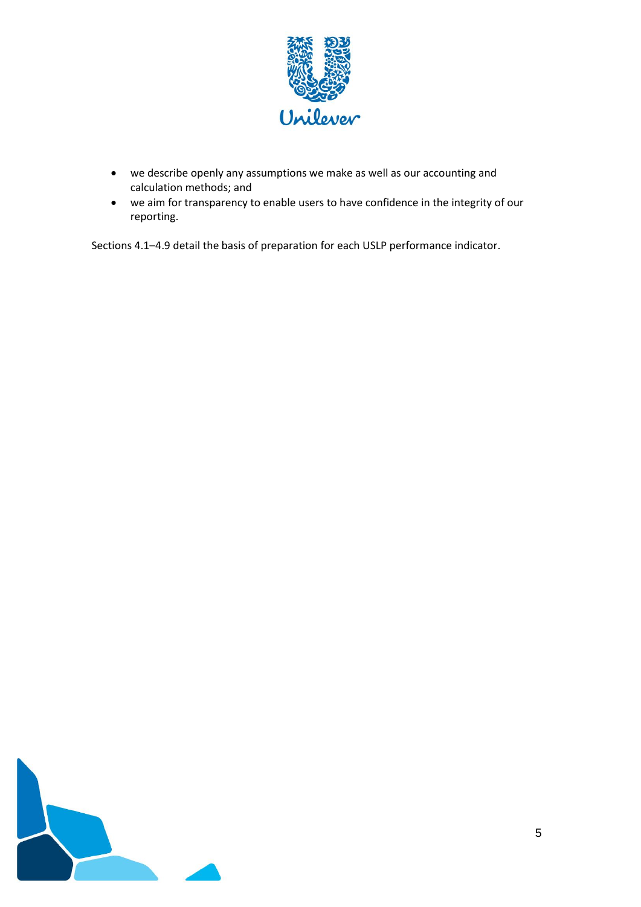

- we describe openly any assumptions we make as well as our accounting and calculation methods; and
- we aim for transparency to enable users to have confidence in the integrity of our reporting.

Sections 4.1–4.9 detail the basis of preparation for each USLP performance indicator.

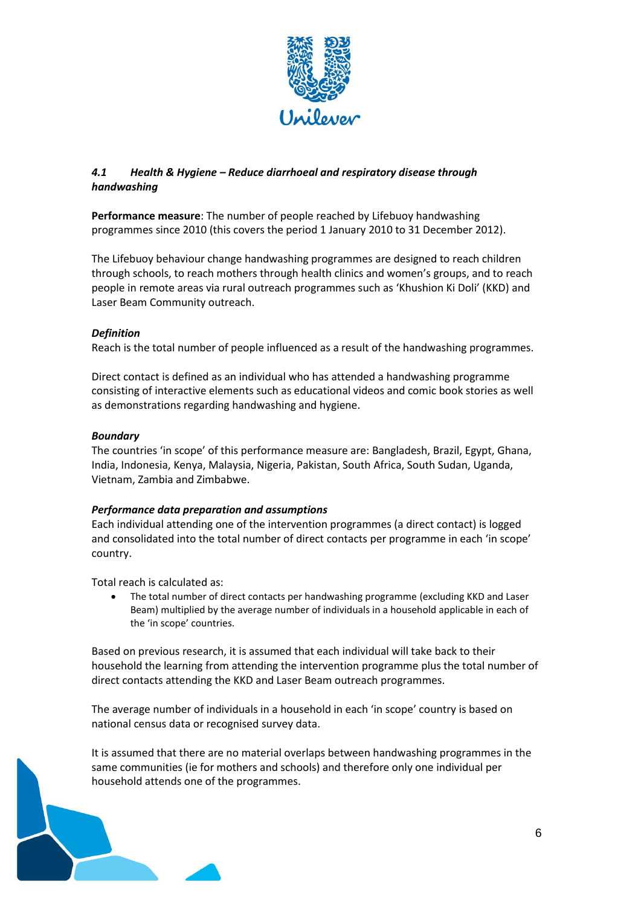

## *4.1 Health & Hygiene – Reduce diarrhoeal and respiratory disease through handwashing*

**Performance measure**: The number of people reached by Lifebuoy handwashing programmes since 2010 (this covers the period 1 January 2010 to 31 December 2012).

The Lifebuoy behaviour change handwashing programmes are designed to reach children through schools, to reach mothers through health clinics and women's groups, and to reach people in remote areas via rural outreach programmes such as 'Khushion Ki Doli' (KKD) and Laser Beam Community outreach.

## *Definition*

Reach is the total number of people influenced as a result of the handwashing programmes.

Direct contact is defined as an individual who has attended a handwashing programme consisting of interactive elements such as educational videos and comic book stories as well as demonstrations regarding handwashing and hygiene.

## *Boundary*

The countries 'in scope' of this performance measure are: Bangladesh, Brazil, Egypt, Ghana, India, Indonesia, Kenya, Malaysia, Nigeria, Pakistan, South Africa, South Sudan, Uganda, Vietnam, Zambia and Zimbabwe.

## *Performance data preparation and assumptions*

Each individual attending one of the intervention programmes (a direct contact) is logged and consolidated into the total number of direct contacts per programme in each 'in scope' country.

Total reach is calculated as:

 The total number of direct contacts per handwashing programme (excluding KKD and Laser Beam) multiplied by the average number of individuals in a household applicable in each of the 'in scope' countries.

Based on previous research, it is assumed that each individual will take back to their household the learning from attending the intervention programme plus the total number of direct contacts attending the KKD and Laser Beam outreach programmes.

The average number of individuals in a household in each 'in scope' country is based on national census data or recognised survey data.

It is assumed that there are no material overlaps between handwashing programmes in the same communities (ie for mothers and schools) and therefore only one individual per household attends one of the programmes.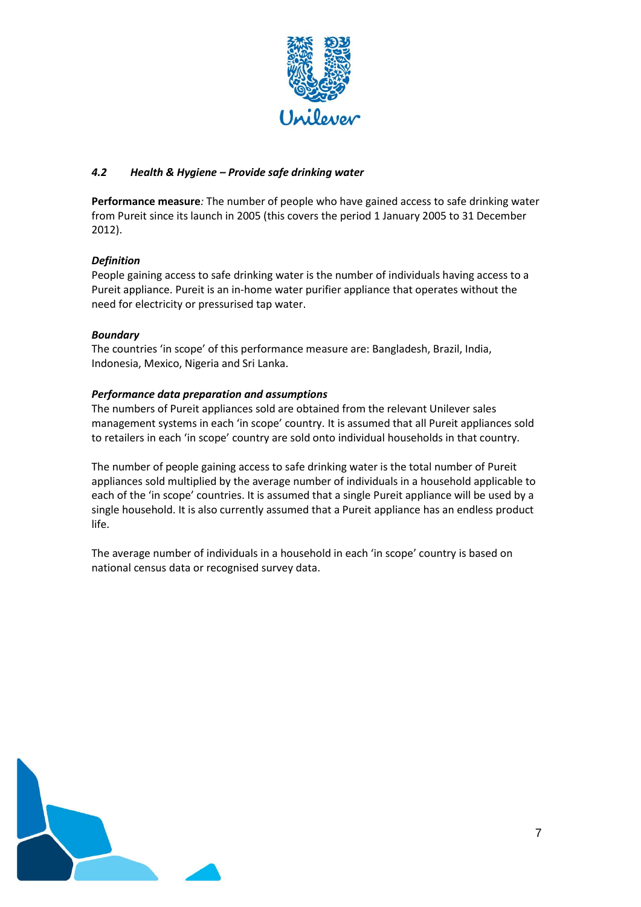

## *4.2 Health & Hygiene – Provide safe drinking water*

**Performance measure***:* The number of people who have gained access to safe drinking water from Pureit since its launch in 2005 (this covers the period 1 January 2005 to 31 December 2012).

## *Definition*

People gaining access to safe drinking water is the number of individuals having access to a Pureit appliance. Pureit is an in-home water purifier appliance that operates without the need for electricity or pressurised tap water.

## *Boundary*

The countries 'in scope' of this performance measure are: Bangladesh, Brazil, India, Indonesia, Mexico, Nigeria and Sri Lanka.

## *Performance data preparation and assumptions*

The numbers of Pureit appliances sold are obtained from the relevant Unilever sales management systems in each 'in scope' country. It is assumed that all Pureit appliances sold to retailers in each 'in scope' country are sold onto individual households in that country.

The number of people gaining access to safe drinking water is the total number of Pureit appliances sold multiplied by the average number of individuals in a household applicable to each of the 'in scope' countries. It is assumed that a single Pureit appliance will be used by a single household. It is also currently assumed that a Pureit appliance has an endless product life.

The average number of individuals in a household in each 'in scope' country is based on national census data or recognised survey data.

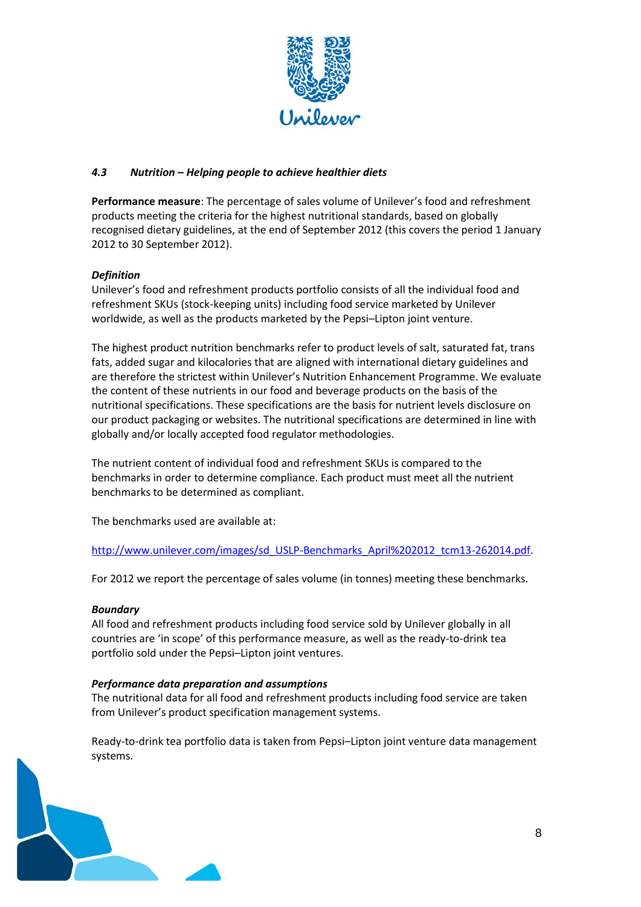

## *4.3 Nutrition – Helping people to achieve healthier diets*

**Performance measure**: The percentage of sales volume of Unilever's food and refreshment products meeting the criteria for the highest nutritional standards, based on globally recognised dietary guidelines, at the end of September 2012 (this covers the period 1 January 2012 to 30 September 2012).

## *Definition*

Unilever's food and refreshment products portfolio consists of all the individual food and refreshment SKUs (stock-keeping units) including food service marketed by Unilever worldwide, as well as the products marketed by the Pepsi–Lipton joint venture.

The highest product nutrition benchmarks refer to product levels of salt, saturated fat, trans fats, added sugar and kilocalories that are aligned with international dietary guidelines and are therefore the strictest within Unilever's Nutrition Enhancement Programme. We evaluate the content of these nutrients in our food and beverage products on the basis of the nutritional specifications. These specifications are the basis for nutrient levels disclosure on our product packaging or websites. The nutritional specifications are determined in line with globally and/or locally accepted food regulator methodologies.

The nutrient content of individual food and refreshment SKUs is compared to the benchmarks in order to determine compliance. Each product must meet all the nutrient benchmarks to be determined as compliant.

The benchmarks used are available at:

[http://www.unilever.com/images/sd\\_USLP-Benchmarks\\_April%202012\\_tcm13-262014.pdf.](http://www.unilever.com/images/sd_USLP-Benchmarks_April%202012_tcm13-262014.pdf)

For 2012 we report the percentage of sales volume (in tonnes) meeting these benchmarks.

## *Boundary*

All food and refreshment products including food service sold by Unilever globally in all countries are 'in scope' of this performance measure, as well as the ready-to-drink tea portfolio sold under the Pepsi–Lipton joint ventures.

## *Performance data preparation and assumptions*

The nutritional data for all food and refreshment products including food service are taken from Unilever's product specification management systems.

Ready-to-drink tea portfolio data is taken from Pepsi–Lipton joint venture data management systems.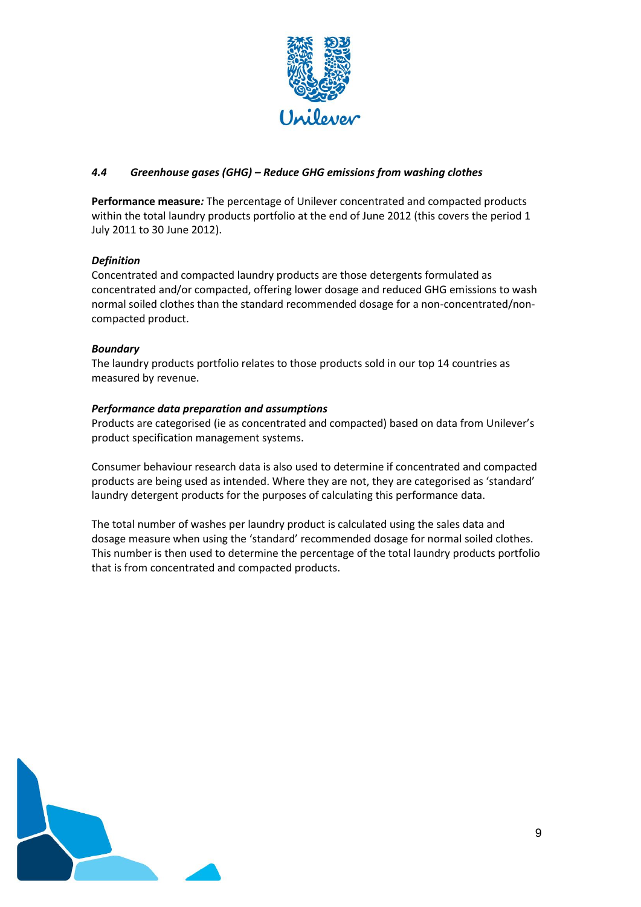

## *4.4 Greenhouse gases (GHG) – Reduce GHG emissions from washing clothes*

**Performance measure***:* The percentage of Unilever concentrated and compacted products within the total laundry products portfolio at the end of June 2012 (this covers the period 1 July 2011 to 30 June 2012).

## *Definition*

Concentrated and compacted laundry products are those detergents formulated as concentrated and/or compacted, offering lower dosage and reduced GHG emissions to wash normal soiled clothes than the standard recommended dosage for a non-concentrated/noncompacted product.

### *Boundary*

The laundry products portfolio relates to those products sold in our top 14 countries as measured by revenue.

### *Performance data preparation and assumptions*

Products are categorised (ie as concentrated and compacted) based on data from Unilever's product specification management systems.

Consumer behaviour research data is also used to determine if concentrated and compacted products are being used as intended. Where they are not, they are categorised as 'standard' laundry detergent products for the purposes of calculating this performance data.

The total number of washes per laundry product is calculated using the sales data and dosage measure when using the 'standard' recommended dosage for normal soiled clothes. This number is then used to determine the percentage of the total laundry products portfolio that is from concentrated and compacted products.

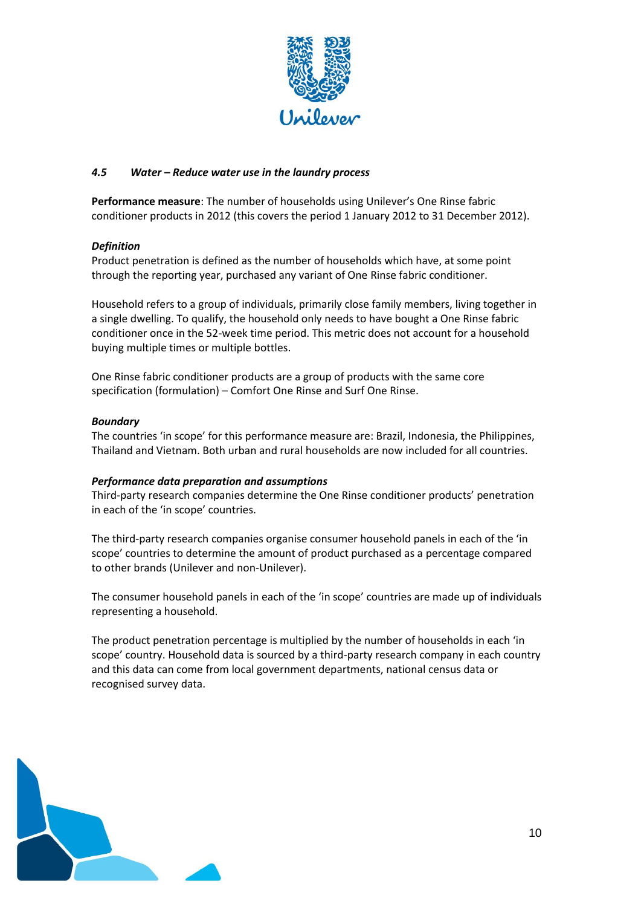

## *4.5 Water – Reduce water use in the laundry process*

**Performance measure**: The number of households using Unilever's One Rinse fabric conditioner products in 2012 (this covers the period 1 January 2012 to 31 December 2012).

#### *Definition*

Product penetration is defined as the number of households which have, at some point through the reporting year, purchased any variant of One Rinse fabric conditioner.

Household refers to a group of individuals, primarily close family members, living together in a single dwelling. To qualify, the household only needs to have bought a One Rinse fabric conditioner once in the 52-week time period. This metric does not account for a household buying multiple times or multiple bottles.

One Rinse fabric conditioner products are a group of products with the same core specification (formulation) – Comfort One Rinse and Surf One Rinse.

#### *Boundary*

The countries 'in scope' for this performance measure are: Brazil, Indonesia, the Philippines, Thailand and Vietnam. Both urban and rural households are now included for all countries.

#### *Performance data preparation and assumptions*

Third-party research companies determine the One Rinse conditioner products' penetration in each of the 'in scope' countries.

The third-party research companies organise consumer household panels in each of the 'in scope' countries to determine the amount of product purchased as a percentage compared to other brands (Unilever and non-Unilever).

The consumer household panels in each of the 'in scope' countries are made up of individuals representing a household.

The product penetration percentage is multiplied by the number of households in each 'in scope' country. Household data is sourced by a third-party research company in each country and this data can come from local government departments, national census data or recognised survey data.

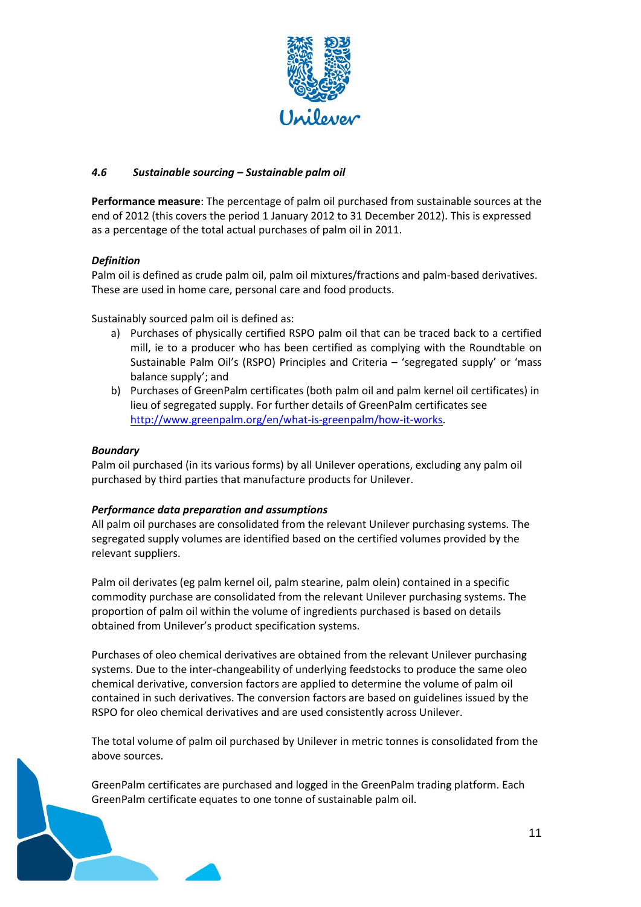

## *4.6 Sustainable sourcing – Sustainable palm oil*

**Performance measure**: The percentage of palm oil purchased from sustainable sources at the end of 2012 (this covers the period 1 January 2012 to 31 December 2012). This is expressed as a percentage of the total actual purchases of palm oil in 2011.

### *Definition*

Palm oil is defined as crude palm oil, palm oil mixtures/fractions and palm-based derivatives. These are used in home care, personal care and food products.

Sustainably sourced palm oil is defined as:

- a) Purchases of physically certified RSPO palm oil that can be traced back to a certified mill, ie to a producer who has been certified as complying with the Roundtable on Sustainable Palm Oil's (RSPO) Principles and Criteria – 'segregated supply' or 'mass balance supply'; and
- b) Purchases of GreenPalm certificates (both palm oil and palm kernel oil certificates) in lieu of segregated supply. For further details of GreenPalm certificates see [http://www.greenpalm.org/en/what-is-greenpalm/how-it-works.](http://www.greenpalm.org/en/what-is-greenpalm/how-it-works)

#### *Boundary*

Palm oil purchased (in its various forms) by all Unilever operations, excluding any palm oil purchased by third parties that manufacture products for Unilever.

#### *Performance data preparation and assumptions*

All palm oil purchases are consolidated from the relevant Unilever purchasing systems. The segregated supply volumes are identified based on the certified volumes provided by the relevant suppliers.

Palm oil derivates (eg palm kernel oil, palm stearine, palm olein) contained in a specific commodity purchase are consolidated from the relevant Unilever purchasing systems. The proportion of palm oil within the volume of ingredients purchased is based on details obtained from Unilever's product specification systems.

Purchases of oleo chemical derivatives are obtained from the relevant Unilever purchasing systems. Due to the inter-changeability of underlying feedstocks to produce the same oleo chemical derivative, conversion factors are applied to determine the volume of palm oil contained in such derivatives. The conversion factors are based on guidelines issued by the RSPO for oleo chemical derivatives and are used consistently across Unilever.

The total volume of palm oil purchased by Unilever in metric tonnes is consolidated from the above sources.

GreenPalm certificates are purchased and logged in the GreenPalm trading platform. Each GreenPalm certificate equates to one tonne of sustainable palm oil.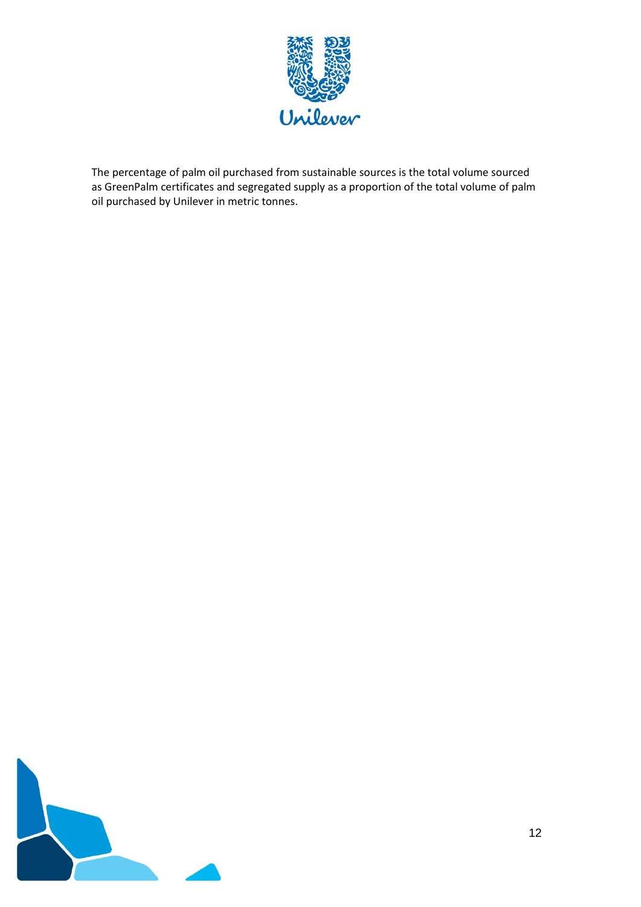

The percentage of palm oil purchased from sustainable sources is the total volume sourced as GreenPalm certificates and segregated supply as a proportion of the total volume of palm oil purchased by Unilever in metric tonnes.

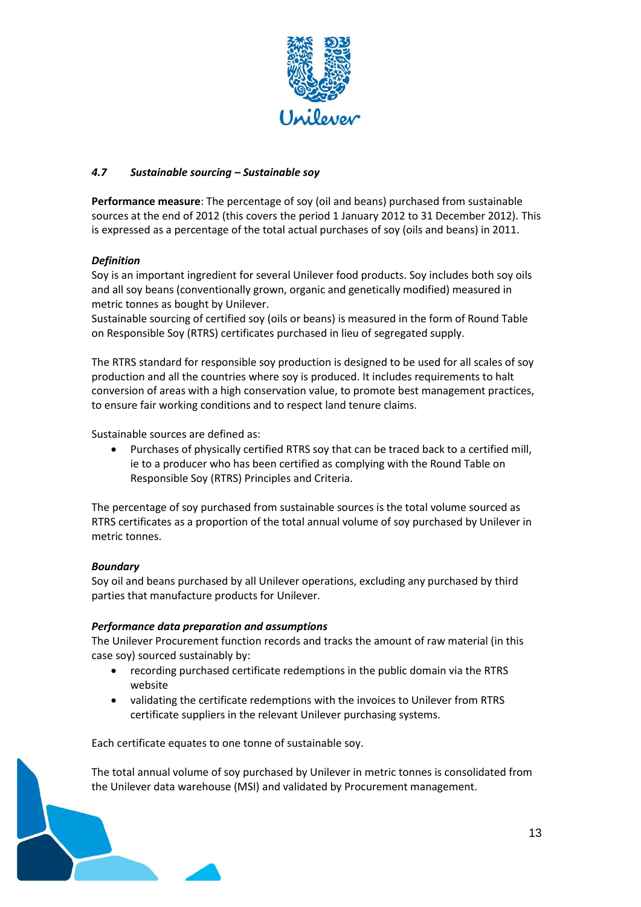

## *4.7 Sustainable sourcing – Sustainable soy*

**Performance measure**: The percentage of soy (oil and beans) purchased from sustainable sources at the end of 2012 (this covers the period 1 January 2012 to 31 December 2012). This is expressed as a percentage of the total actual purchases of soy (oils and beans) in 2011.

## *Definition*

Soy is an important ingredient for several Unilever food products. Soy includes both soy oils and all soy beans (conventionally grown, organic and genetically modified) measured in metric tonnes as bought by Unilever.

Sustainable sourcing of certified soy (oils or beans) is measured in the form of Round Table on Responsible Soy (RTRS) certificates purchased in lieu of segregated supply.

The RTRS standard for responsible soy production is designed to be used for all scales of soy production and all the countries where soy is produced. It includes requirements to halt conversion of areas with a high conservation value, to promote best management practices, to ensure fair working conditions and to respect land tenure claims.

Sustainable sources are defined as:

 Purchases of physically certified RTRS soy that can be traced back to a certified mill, ie to a producer who has been certified as complying with the Round Table on Responsible Soy (RTRS) Principles and Criteria.

The percentage of soy purchased from sustainable sources is the total volume sourced as RTRS certificates as a proportion of the total annual volume of soy purchased by Unilever in metric tonnes.

## *Boundary*

Soy oil and beans purchased by all Unilever operations, excluding any purchased by third parties that manufacture products for Unilever.

#### *Performance data preparation and assumptions*

The Unilever Procurement function records and tracks the amount of raw material (in this case soy) sourced sustainably by:

- recording purchased certificate redemptions in the public domain via the RTRS website
- validating the certificate redemptions with the invoices to Unilever from RTRS certificate suppliers in the relevant Unilever purchasing systems.

Each certificate equates to one tonne of sustainable soy.

The total annual volume of soy purchased by Unilever in metric tonnes is consolidated from the Unilever data warehouse (MSI) and validated by Procurement management.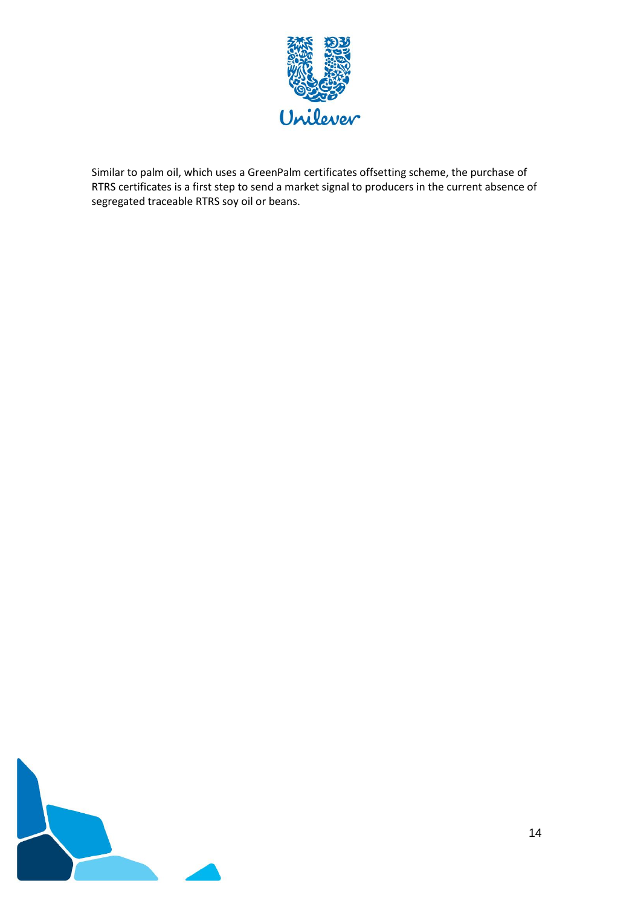

Similar to palm oil, which uses a GreenPalm certificates offsetting scheme, the purchase of RTRS certificates is a first step to send a market signal to producers in the current absence of segregated traceable RTRS soy oil or beans.

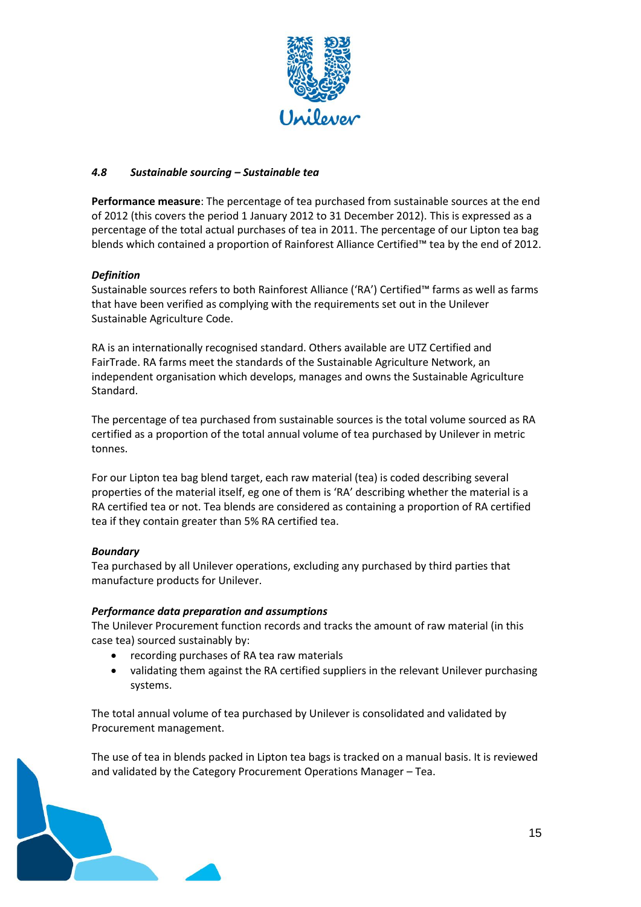

## *4.8 Sustainable sourcing – Sustainable tea*

**Performance measure**: The percentage of tea purchased from sustainable sources at the end of 2012 (this covers the period 1 January 2012 to 31 December 2012). This is expressed as a percentage of the total actual purchases of tea in 2011. The percentage of our Lipton tea bag blends which contained a proportion of Rainforest Alliance Certified™ tea by the end of 2012.

### *Definition*

Sustainable sources refers to both Rainforest Alliance ('RA') Certified™ farms as well as farms that have been verified as complying with the requirements set out in the Unilever Sustainable Agriculture Code.

RA is an internationally recognised standard. Others available are UTZ Certified and FairTrade. RA farms meet the standards of the Sustainable Agriculture Network, an independent organisation which develops, manages and owns the Sustainable Agriculture Standard.

The percentage of tea purchased from sustainable sources is the total volume sourced as RA certified as a proportion of the total annual volume of tea purchased by Unilever in metric tonnes.

For our Lipton tea bag blend target, each raw material (tea) is coded describing several properties of the material itself, eg one of them is 'RA' describing whether the material is a RA certified tea or not. Tea blends are considered as containing a proportion of RA certified tea if they contain greater than 5% RA certified tea.

#### *Boundary*

Tea purchased by all Unilever operations, excluding any purchased by third parties that manufacture products for Unilever.

#### *Performance data preparation and assumptions*

The Unilever Procurement function records and tracks the amount of raw material (in this case tea) sourced sustainably by:

- recording purchases of RA tea raw materials
- validating them against the RA certified suppliers in the relevant Unilever purchasing systems.

The total annual volume of tea purchased by Unilever is consolidated and validated by Procurement management.

The use of tea in blends packed in Lipton tea bags is tracked on a manual basis. It is reviewed and validated by the Category Procurement Operations Manager – Tea.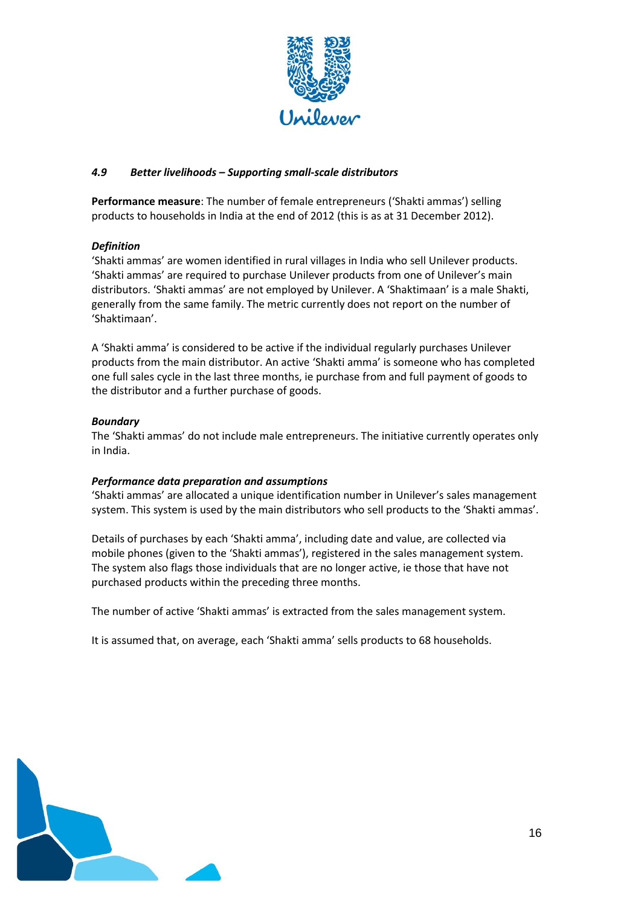

## *4.9 Better livelihoods – Supporting small-scale distributors*

**Performance measure**: The number of female entrepreneurs ('Shakti ammas') selling products to households in India at the end of 2012 (this is as at 31 December 2012).

## *Definition*

'Shakti ammas' are women identified in rural villages in India who sell Unilever products. 'Shakti ammas' are required to purchase Unilever products from one of Unilever's main distributors. 'Shakti ammas' are not employed by Unilever. A 'Shaktimaan' is a male Shakti, generally from the same family. The metric currently does not report on the number of 'Shaktimaan'.

A 'Shakti amma' is considered to be active if the individual regularly purchases Unilever products from the main distributor. An active 'Shakti amma' is someone who has completed one full sales cycle in the last three months, ie purchase from and full payment of goods to the distributor and a further purchase of goods.

## *Boundary*

The 'Shakti ammas' do not include male entrepreneurs. The initiative currently operates only in India.

## *Performance data preparation and assumptions*

'Shakti ammas' are allocated a unique identification number in Unilever's sales management system. This system is used by the main distributors who sell products to the 'Shakti ammas'.

Details of purchases by each 'Shakti amma', including date and value, are collected via mobile phones (given to the 'Shakti ammas'), registered in the sales management system. The system also flags those individuals that are no longer active, ie those that have not purchased products within the preceding three months.

The number of active 'Shakti ammas' is extracted from the sales management system.

It is assumed that, on average, each 'Shakti amma' sells products to 68 households.

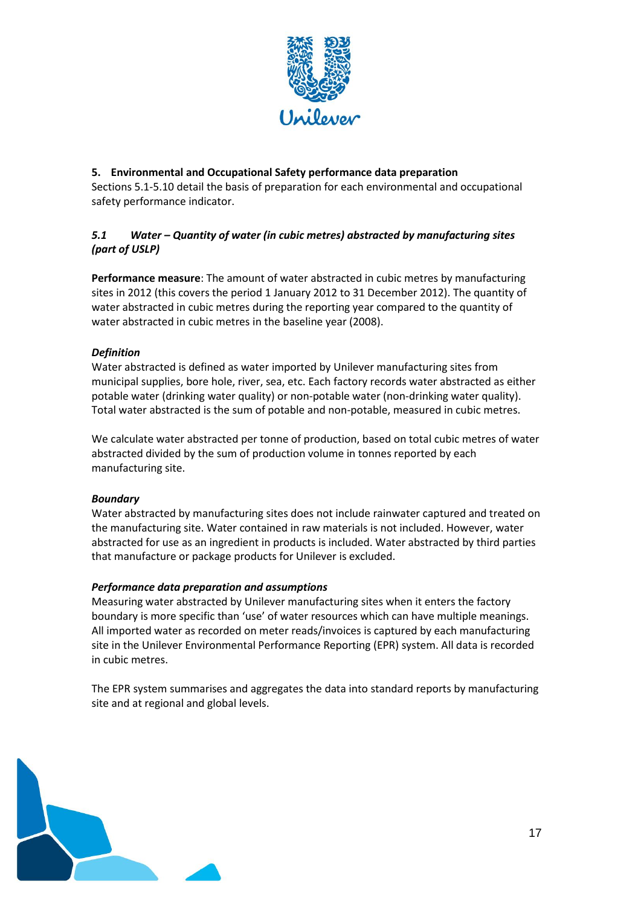

## **5. Environmental and Occupational Safety performance data preparation**

Sections 5.1-5.10 detail the basis of preparation for each environmental and occupational safety performance indicator.

## *5.1 Water – Quantity of water (in cubic metres) abstracted by manufacturing sites (part of USLP)*

**Performance measure**: The amount of water abstracted in cubic metres by manufacturing sites in 2012 (this covers the period 1 January 2012 to 31 December 2012). The quantity of water abstracted in cubic metres during the reporting year compared to the quantity of water abstracted in cubic metres in the baseline year (2008).

## *Definition*

Water abstracted is defined as water imported by Unilever manufacturing sites from municipal supplies, bore hole, river, sea, etc. Each factory records water abstracted as either potable water (drinking water quality) or non-potable water (non-drinking water quality). Total water abstracted is the sum of potable and non-potable, measured in cubic metres.

We calculate water abstracted per tonne of production, based on total cubic metres of water abstracted divided by the sum of production volume in tonnes reported by each manufacturing site.

## *Boundary*

Water abstracted by manufacturing sites does not include rainwater captured and treated on the manufacturing site. Water contained in raw materials is not included. However, water abstracted for use as an ingredient in products is included. Water abstracted by third parties that manufacture or package products for Unilever is excluded.

## *Performance data preparation and assumptions*

Measuring water abstracted by Unilever manufacturing sites when it enters the factory boundary is more specific than 'use' of water resources which can have multiple meanings. All imported water as recorded on meter reads/invoices is captured by each manufacturing site in the Unilever Environmental Performance Reporting (EPR) system. All data is recorded in cubic metres.

The EPR system summarises and aggregates the data into standard reports by manufacturing site and at regional and global levels.

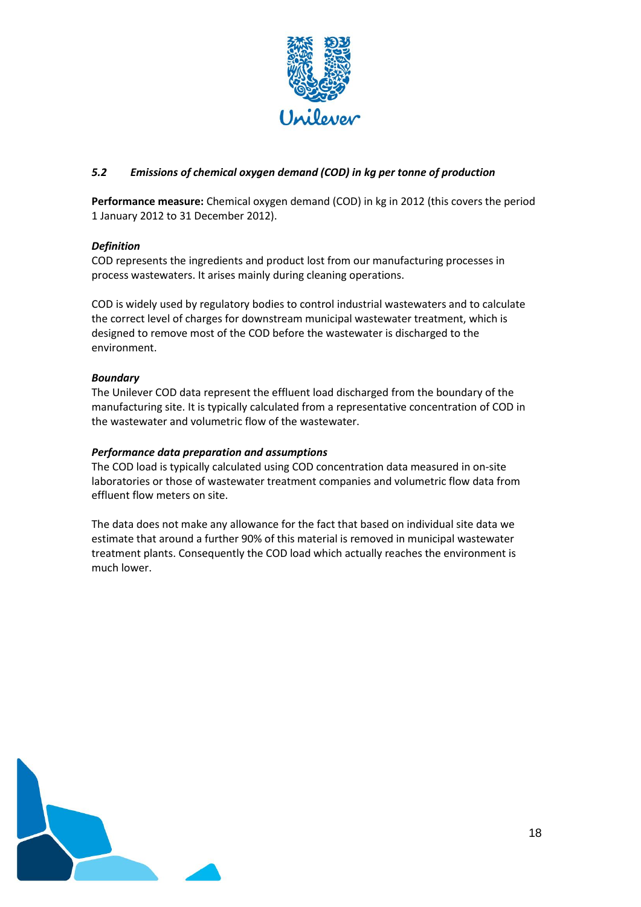

## *5.2 Emissions of chemical oxygen demand (COD) in kg per tonne of production*

**Performance measure:** Chemical oxygen demand (COD) in kg in 2012 (this covers the period 1 January 2012 to 31 December 2012).

## *Definition*

COD represents the ingredients and product lost from our manufacturing processes in process wastewaters. It arises mainly during cleaning operations.

COD is widely used by regulatory bodies to control industrial wastewaters and to calculate the correct level of charges for downstream municipal wastewater treatment, which is designed to remove most of the COD before the wastewater is discharged to the environment.

### *Boundary*

The Unilever COD data represent the effluent load discharged from the boundary of the manufacturing site. It is typically calculated from a representative concentration of COD in the wastewater and volumetric flow of the wastewater.

### *Performance data preparation and assumptions*

The COD load is typically calculated using COD concentration data measured in on-site laboratories or those of wastewater treatment companies and volumetric flow data from effluent flow meters on site.

The data does not make any allowance for the fact that based on individual site data we estimate that around a further 90% of this material is removed in municipal wastewater treatment plants. Consequently the COD load which actually reaches the environment is much lower.

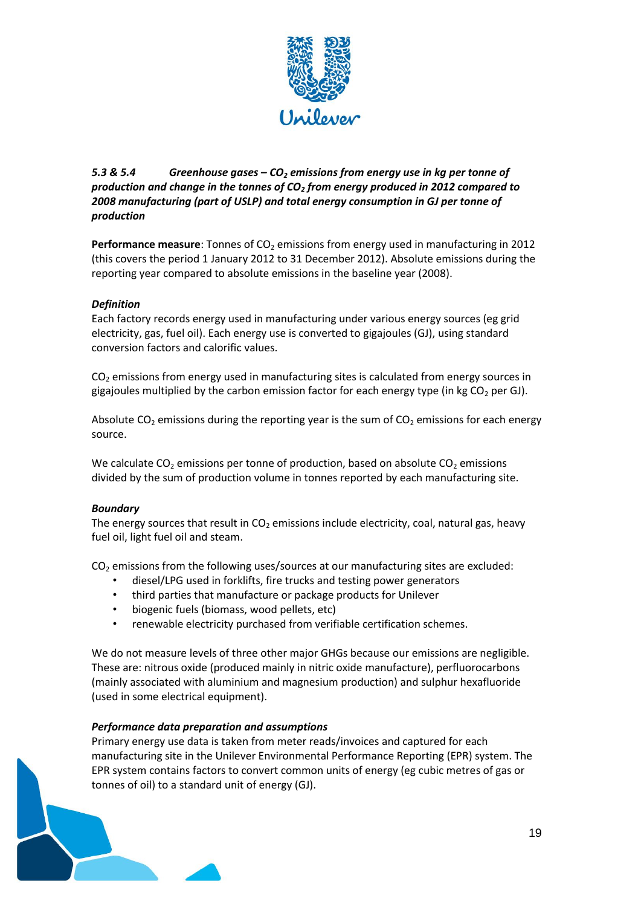

## *5.3 & 5.4 Greenhouse gases – CO<sup>2</sup> emissions from energy use in kg per tonne of production and change in the tonnes of CO<sup>2</sup> from energy produced in 2012 compared to 2008 manufacturing (part of USLP) and total energy consumption in GJ per tonne of production*

Performance measure: Tonnes of CO<sub>2</sub> emissions from energy used in manufacturing in 2012 (this covers the period 1 January 2012 to 31 December 2012). Absolute emissions during the reporting year compared to absolute emissions in the baseline year (2008).

## *Definition*

Each factory records energy used in manufacturing under various energy sources (eg grid electricity, gas, fuel oil). Each energy use is converted to gigajoules (GJ), using standard conversion factors and calorific values.

 $CO<sub>2</sub>$  emissions from energy used in manufacturing sites is calculated from energy sources in gigajoules multiplied by the carbon emission factor for each energy type (in kg  $CO<sub>2</sub>$  per GJ).

Absolute CO<sub>2</sub> emissions during the reporting year is the sum of CO<sub>2</sub> emissions for each energy source.

We calculate  $CO_2$  emissions per tonne of production, based on absolute  $CO_2$  emissions divided by the sum of production volume in tonnes reported by each manufacturing site.

## *Boundary*

The energy sources that result in  $CO<sub>2</sub>$  emissions include electricity, coal, natural gas, heavy fuel oil, light fuel oil and steam.

 $CO<sub>2</sub>$  emissions from the following uses/sources at our manufacturing sites are excluded:

- diesel/LPG used in forklifts, fire trucks and testing power generators
- third parties that manufacture or package products for Unilever
- biogenic fuels (biomass, wood pellets, etc)
- renewable electricity purchased from verifiable certification schemes.

We do not measure levels of three other major GHGs because our emissions are negligible. These are: nitrous oxide (produced mainly in nitric oxide manufacture), perfluorocarbons (mainly associated with aluminium and magnesium production) and sulphur hexafluoride (used in some electrical equipment).

#### *Performance data preparation and assumptions*

Primary energy use data is taken from meter reads/invoices and captured for each manufacturing site in the Unilever Environmental Performance Reporting (EPR) system. The EPR system contains factors to convert common units of energy (eg cubic metres of gas or tonnes of oil) to a standard unit of energy (GJ).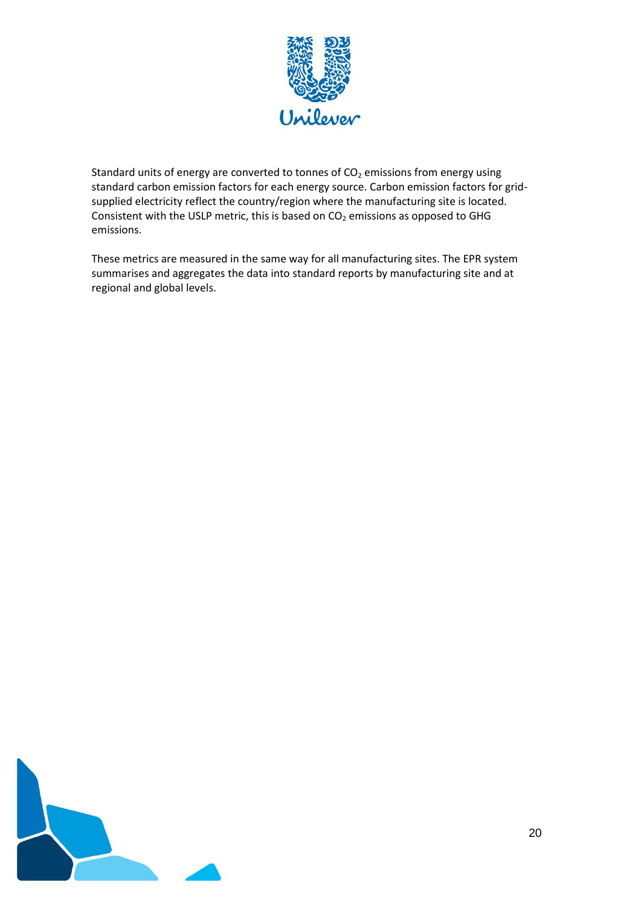

Standard units of energy are converted to tonnes of  $CO<sub>2</sub>$  emissions from energy using standard carbon emission factors for each energy source. Carbon emission factors for gridsupplied electricity reflect the country/region where the manufacturing site is located. Consistent with the USLP metric, this is based on  $CO<sub>2</sub>$  emissions as opposed to GHG emissions.

These metrics are measured in the same way for all manufacturing sites. The EPR system summarises and aggregates the data into standard reports by manufacturing site and at regional and global levels.

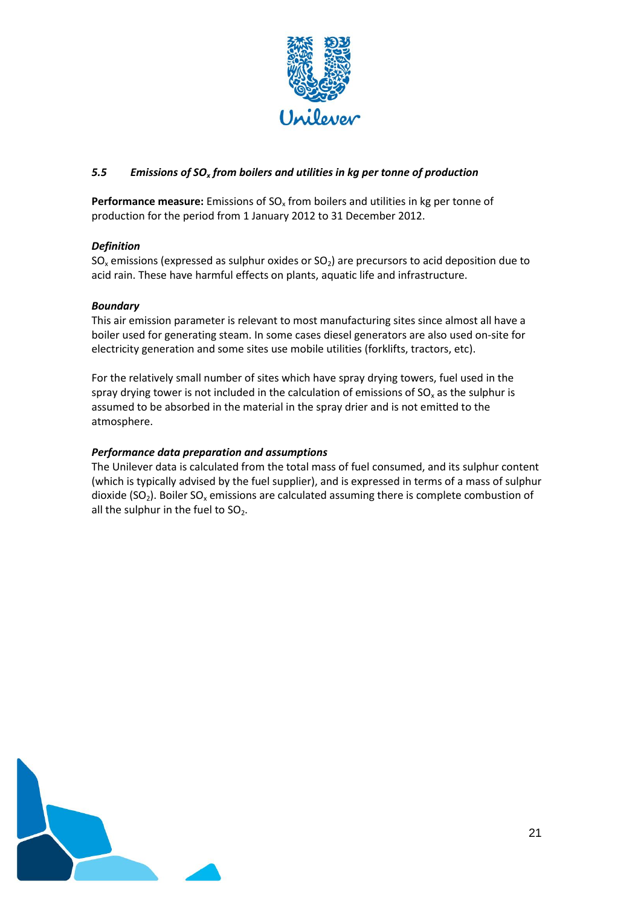

## *5.5 Emissions of SO<sup>x</sup> from boilers and utilities in kg per tonne of production*

**Performance measure:** Emissions of SO<sub>x</sub> from boilers and utilities in kg per tonne of production for the period from 1 January 2012 to 31 December 2012.

## *Definition*

 $SO_x$  emissions (expressed as sulphur oxides or  $SO_2$ ) are precursors to acid deposition due to acid rain. These have harmful effects on plants, aquatic life and infrastructure.

## *Boundary*

This air emission parameter is relevant to most manufacturing sites since almost all have a boiler used for generating steam. In some cases diesel generators are also used on‐site for electricity generation and some sites use mobile utilities (forklifts, tractors, etc).

For the relatively small number of sites which have spray drying towers, fuel used in the spray drying tower is not included in the calculation of emissions of  $SO<sub>x</sub>$  as the sulphur is assumed to be absorbed in the material in the spray drier and is not emitted to the atmosphere.

## *Performance data preparation and assumptions*

The Unilever data is calculated from the total mass of fuel consumed, and its sulphur content (which is typically advised by the fuel supplier), and is expressed in terms of a mass of sulphur dioxide (SO<sub>2</sub>). Boiler SO<sub>x</sub> emissions are calculated assuming there is complete combustion of all the sulphur in the fuel to  $SO<sub>2</sub>$ .

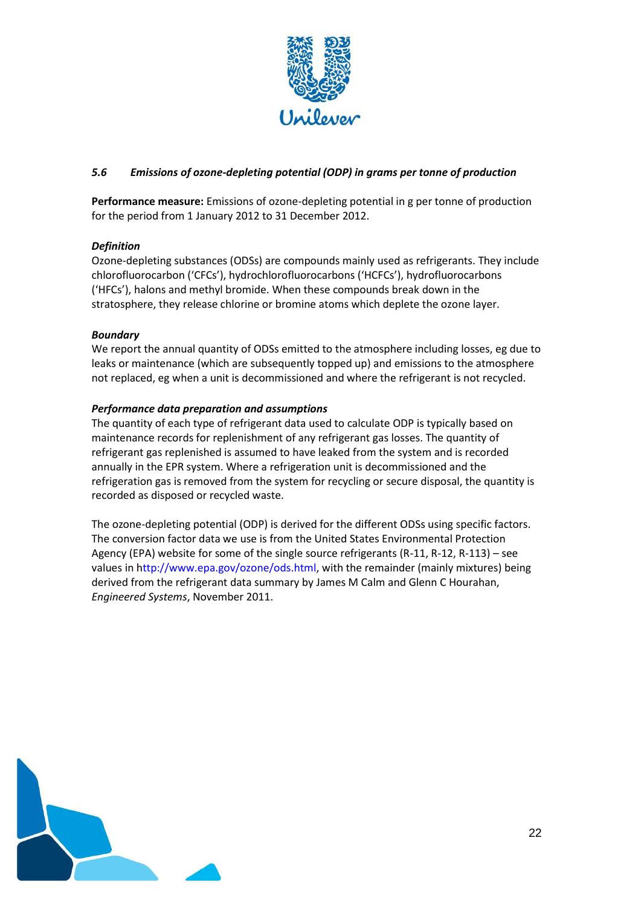

## *5.6 Emissions of ozone-depleting potential (ODP) in grams per tonne of production*

**Performance measure:** Emissions of ozone-depleting potential in g per tonne of production for the period from 1 January 2012 to 31 December 2012.

## *Definition*

Ozone-depleting substances (ODSs) are compounds mainly used as refrigerants. They include chlorofluorocarbon ('CFCs'), hydrochlorofluorocarbons ('HCFCs'), hydrofluorocarbons ('HFCs'), halons and methyl bromide. When these compounds break down in the stratosphere, they release chlorine or bromine atoms which deplete the ozone layer.

## *Boundary*

We report the annual quantity of ODSs emitted to the atmosphere including losses, eg due to leaks or maintenance (which are subsequently topped up) and emissions to the atmosphere not replaced, eg when a unit is decommissioned and where the refrigerant is not recycled.

## *Performance data preparation and assumptions*

The quantity of each type of refrigerant data used to calculate ODP is typically based on maintenance records for replenishment of any refrigerant gas losses. The quantity of refrigerant gas replenished is assumed to have leaked from the system and is recorded annually in the EPR system. Where a refrigeration unit is decommissioned and the refrigeration gas is removed from the system for recycling or secure disposal, the quantity is recorded as disposed or recycled waste.

The ozone-depleting potential (ODP) is derived for the different ODSs using specific factors. The conversion factor data we use is from the United States Environmental Protection Agency (EPA) website for some of the single source refrigerants (R‐11, R‐12, R‐113) – see values in http://www.epa.gov/ozone/ods.html, with the remainder (mainly mixtures) being derived from the refrigerant data summary by James M Calm and Glenn C Hourahan, *Engineered Systems*, November 2011.

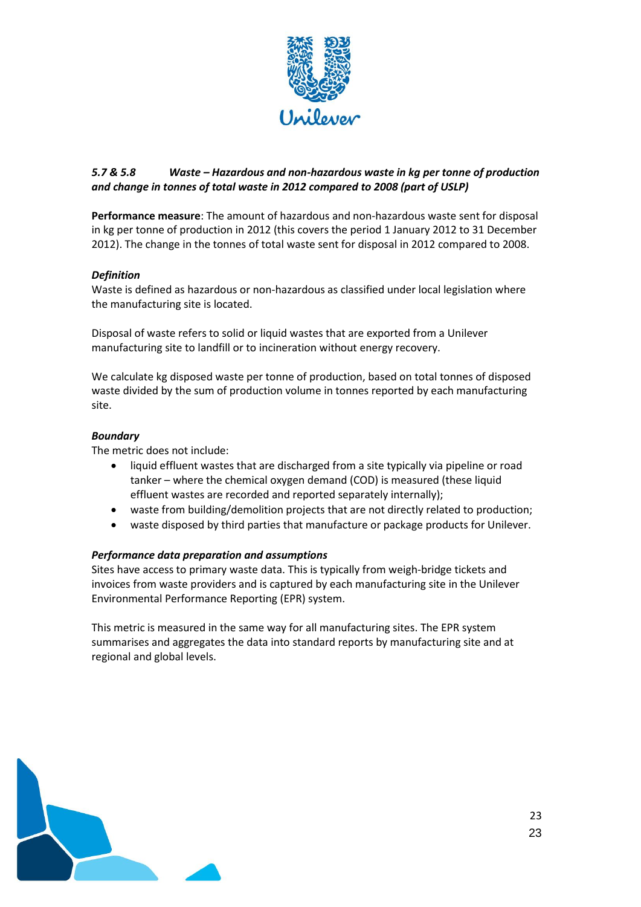

## *5.7 & 5.8 Waste – Hazardous and non-hazardous waste in kg per tonne of production and change in tonnes of total waste in 2012 compared to 2008 (part of USLP)*

**Performance measure**: The amount of hazardous and non-hazardous waste sent for disposal in kg per tonne of production in 2012 (this covers the period 1 January 2012 to 31 December 2012). The change in the tonnes of total waste sent for disposal in 2012 compared to 2008.

## *Definition*

Waste is defined as hazardous or non-hazardous as classified under local legislation where the manufacturing site is located.

Disposal of waste refers to solid or liquid wastes that are exported from a Unilever manufacturing site to landfill or to incineration without energy recovery.

We calculate kg disposed waste per tonne of production, based on total tonnes of disposed waste divided by the sum of production volume in tonnes reported by each manufacturing site.

### *Boundary*

The metric does not include:

- liquid effluent wastes that are discharged from a site typically via pipeline or road tanker – where the chemical oxygen demand (COD) is measured (these liquid effluent wastes are recorded and reported separately internally);
- waste from building/demolition projects that are not directly related to production;
- waste disposed by third parties that manufacture or package products for Unilever.

#### *Performance data preparation and assumptions*

Sites have access to primary waste data. This is typically from weigh-bridge tickets and invoices from waste providers and is captured by each manufacturing site in the Unilever Environmental Performance Reporting (EPR) system.

This metric is measured in the same way for all manufacturing sites. The EPR system summarises and aggregates the data into standard reports by manufacturing site and at regional and global levels.

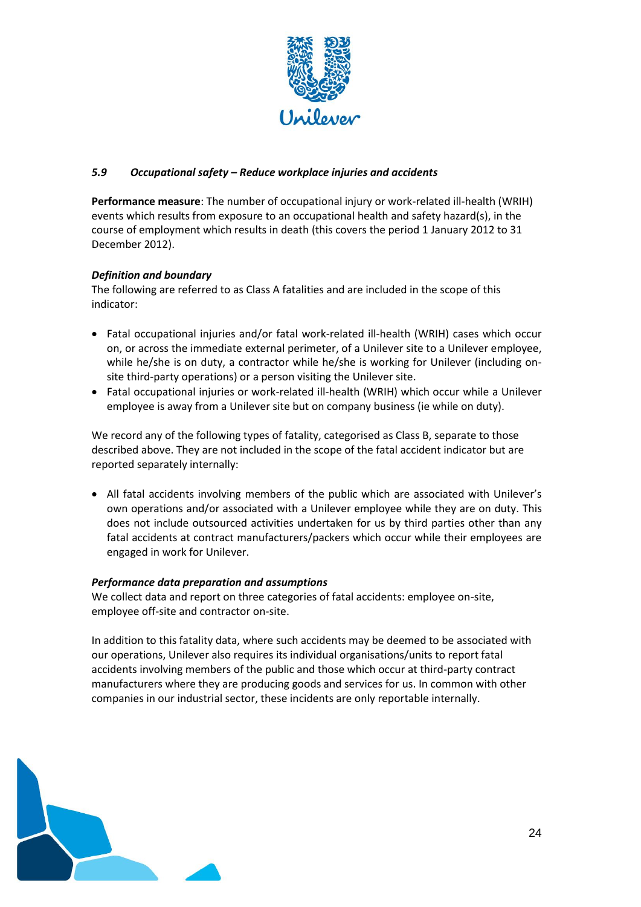

## *5.9 Occupational safety – Reduce workplace injuries and accidents*

**Performance measure**: The number of occupational injury or work-related ill-health (WRIH) events which results from exposure to an occupational health and safety hazard(s), in the course of employment which results in death (this covers the period 1 January 2012 to 31 December 2012).

## *Definition and boundary*

The following are referred to as Class A fatalities and are included in the scope of this indicator:

- Fatal occupational injuries and/or fatal work-related ill-health (WRIH) cases which occur on, or across the immediate external perimeter, of a Unilever site to a Unilever employee, while he/she is on duty, a contractor while he/she is working for Unilever (including onsite third-party operations) or a person visiting the Unilever site.
- Fatal occupational injuries or work-related ill-health (WRIH) which occur while a Unilever employee is away from a Unilever site but on company business (ie while on duty).

We record any of the following types of fatality, categorised as Class B, separate to those described above. They are not included in the scope of the fatal accident indicator but are reported separately internally:

 All fatal accidents involving members of the public which are associated with Unilever's own operations and/or associated with a Unilever employee while they are on duty. This does not include outsourced activities undertaken for us by third parties other than any fatal accidents at contract manufacturers/packers which occur while their employees are engaged in work for Unilever.

## *Performance data preparation and assumptions*

We collect data and report on three categories of fatal accidents: employee on-site, employee off‐site and contractor on‐site.

In addition to this fatality data, where such accidents may be deemed to be associated with our operations, Unilever also requires its individual organisations/units to report fatal accidents involving members of the public and those which occur at third‐party contract manufacturers where they are producing goods and services for us. In common with other companies in our industrial sector, these incidents are only reportable internally.